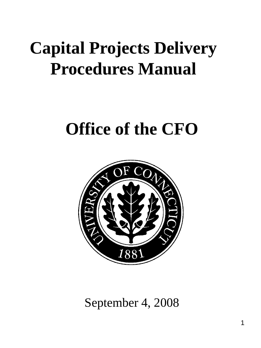# **Capital Projects Delivery Procedures Manual**

# **Office of the CFO**



September 4, 2008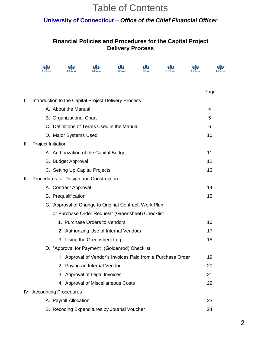# Table of Contents

### **University of Connecticut** – *Office of the Chief Financial Officer*

### **Financial Policies and Procedures for the Capital Project Delivery Process**

|    |                                                      |                                                        |                               |                                        |  |                                                             |  | Page |
|----|------------------------------------------------------|--------------------------------------------------------|-------------------------------|----------------------------------------|--|-------------------------------------------------------------|--|------|
| I. | Introduction to the Capital Project Delivery Process |                                                        |                               |                                        |  |                                                             |  |      |
|    | A. About the Manual                                  |                                                        |                               |                                        |  |                                                             |  | 4    |
|    |                                                      | <b>B.</b> Organizational Chart                         |                               |                                        |  |                                                             |  | 5    |
|    |                                                      | C. Definitions of Terms Used in the Manual             |                               |                                        |  |                                                             |  | 6    |
|    |                                                      | D. Major Systems Used                                  |                               |                                        |  |                                                             |  | 10   |
| Ш. | Project Initiation                                   |                                                        |                               |                                        |  |                                                             |  |      |
|    |                                                      | A. Authorization of the Capital Budget                 |                               |                                        |  |                                                             |  | 11   |
|    |                                                      | B. Budget Approval                                     |                               |                                        |  |                                                             |  | 12   |
|    |                                                      | C. Setting Up Capital Projects                         |                               |                                        |  |                                                             |  | 13   |
|    |                                                      | III. Procedures for Design and Construction            |                               |                                        |  |                                                             |  |      |
|    |                                                      | A. Contract Approval                                   |                               |                                        |  |                                                             |  | 14   |
|    |                                                      | <b>B.</b> Prequalification                             |                               |                                        |  |                                                             |  | 15   |
|    |                                                      | C. "Approval of Change to Original Contract, Work Plan |                               |                                        |  |                                                             |  |      |
|    |                                                      | or Purchase Order Request" (Greensheet) Checklist      |                               |                                        |  |                                                             |  |      |
|    |                                                      |                                                        | 1. Purchase Orders to Vendors |                                        |  |                                                             |  | 16   |
|    |                                                      |                                                        |                               | 2. Authorizing Use of Internal Vendors |  |                                                             |  | 17   |
|    |                                                      |                                                        | 3. Using the Greensheet Log   |                                        |  |                                                             |  | 18   |
|    |                                                      | D. "Approval for Payment" (Goldenrod) Checklist        |                               |                                        |  |                                                             |  |      |
|    |                                                      |                                                        |                               |                                        |  | 1. Approval of Vendor's Invoices Paid from a Purchase Order |  | 19   |
|    |                                                      |                                                        | 2. Paying an Internal Vendor  |                                        |  |                                                             |  | 20   |
|    |                                                      |                                                        | 3. Approval of Legal Invoices |                                        |  |                                                             |  | 21   |
|    |                                                      |                                                        |                               | 4. Approval of Miscellaneous Costs     |  |                                                             |  | 22   |
|    |                                                      | IV. Accounting Procedures                              |                               |                                        |  |                                                             |  |      |
|    |                                                      | A. Payroll Allocation                                  |                               |                                        |  |                                                             |  | 23   |
|    |                                                      | B. Recoding Expenditures by Journal Voucher            |                               |                                        |  |                                                             |  | 24   |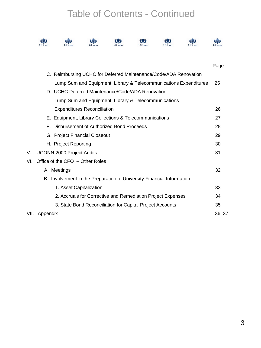# Table of Contents - Continued









 $\mathbf{Q}$ 



|     |                                                                       | Page   |
|-----|-----------------------------------------------------------------------|--------|
|     | C. Reimbursing UCHC for Deferred Maintenance/Code/ADA Renovation      |        |
|     | Lump Sum and Equipment, Library & Telecommunications Expenditures     | 25     |
|     | D. UCHC Deferred Maintenance/Code/ADA Renovation                      |        |
|     | Lump Sum and Equipment, Library & Telecommunications                  |        |
|     | <b>Expenditures Reconciliation</b>                                    | 26     |
|     | E. Equipment, Library Collections & Telecommunications                | 27     |
|     | F. Disbursement of Authorized Bond Proceeds                           | 28     |
|     | G. Project Financial Closeout                                         | 29     |
|     | H. Project Reporting                                                  | 30     |
| V.  | UCONN 2000 Project Audits                                             | 31     |
| VI. | Office of the CFO - Other Roles                                       |        |
|     | A. Meetings                                                           | 32     |
|     | B. Involvement in the Preparation of University Financial Information |        |
|     | 1. Asset Capitalization                                               | 33     |
|     | 2. Accruals for Corrective and Remediation Project Expenses           | 34     |
|     | 3. State Bond Reconciliation for Capital Project Accounts             | 35     |
|     | VII. Appendix                                                         | 36, 37 |
|     |                                                                       |        |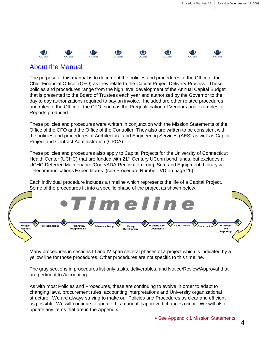(3)

镰

### About the Manual

13

The purpose of this manual is to document the policies and procedures of the Office of the Chief Financial Officer (CFO) as they relate to the Capital Project Delivery Process. These policies and procedures range from the high level development of the Annual Capital Budget that is presented to the Board of Trustees each year and authorized by the Governor to the day to day authorizations required to pay an invoice. Included are other related procedures and roles of the Office of the CFO, such as the Prequalification of Vendors and examples of Reports produced.

These policies and procedures were written in conjunction with the Mission Statements of the Office of the CFO and the Office of the Controller. They also are written to be consistent with the policies and procedures of Architectural and Engineering Services (AES) as well as Capital Project and Contract Administration (CPCA).

These policies and procedures also apply to Capital Projects for the University of Connecticut Health Center (UCHC) that are funded with 21<sup>st</sup> Century UConn bond funds, but excludes all UCHC Deferred Maintenance/Code/ADA Renovation Lump Sum and Equipment, Library & Telecommunications Expenditures. (see Procedure Number IVD on page 26).

Each individual procedure includes a timeline which represents the life of a Capital Project. Some of the procedures fit into a specific phase of the project as shown below.



Many procedures in sections III and IV span several phases of a project which is indicated by a yellow line for those procedures. Other procedures are not specific to this timeline.

The gray sections in procedures list only tasks, deliverables, and Notice/Review/Approval that are pertinent to Accounting.

As with most Policies and Procedures, these are continuing to evolve in order to adapt to changing laws, procurement rules, accounting interpretations and University organizational structure. We are always striving to make our Policies and Procedures as clear and efficient as possible. We will continue to update this manual if approved changes occur. We will also update any items that are in the Appendix.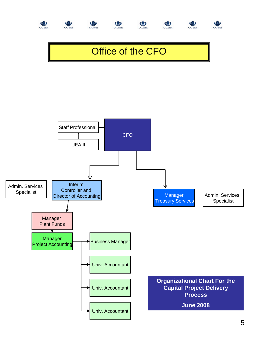

 $\bigcirc$  UConn

(the UConn









(参)

# Office of the CFO

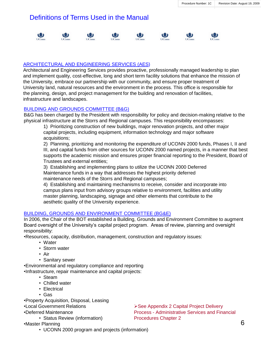### Definitions of Terms Used in the Manual



#### ARCHITECTURAL AND ENGINEERING SERVICES (AES)

Architectural and Engineering Services provides proactive, professionally managed leadership to plan and implement quality, cost-effective, long and short term facility solutions that enhance the mission of the University, embrace our partnership with our community, and ensure proper treatment of University land, natural resources and the environment in the process. This office is responsible for the planning, design, and project management for the building and renovation of facilities, infrastructure and landscapes.

#### BUILDING AND GROUNDS COMMITTEE (B&G)

B&G has been charged by the President with responsibility for policy and decision-making relative to the physical infrastructure at the Storrs and Regional campuses. This responsibility encompasses:

1) Prioritizing construction of new buildings, major renovation projects, and other major capital projects, including equipment, information technology and major software acquisitions;

2) Planning, prioritizing and monitoring the expenditure of UCONN 2000 funds, Phases I, II and III, and capital funds from other sources for UCONN 2000 named projects, in a manner that best supports the academic mission and ensures proper financial reporting to the President, Board of Trustees and external entities;

3) Establishing and implementing plans to utilize the UCONN 2000 Deferred Maintenance funds in a way that addresses the highest priority deferred maintenance needs of the Storrs and Regional campuses;

4) Establishing and maintaining mechanisms to receive, consider and incorporate into campus plans input from advisory groups relative to environment, facilities and utility master planning, landscaping, signage and other elements that contribute to the aesthetic quality of the University experience.

### BUILDING, GROUNDS AND ENVIRONMENT COMMITTEE (BG&E)

In 2006, the Chair of the BOT established a Building, Grounds and Environment Committee to augment Board oversight of the University's capital project program. Areas of review, planning and oversight responsibility:

•Resources, capacity, distribution, management, construction and regulatory issues:

- Water
- Storm water
- Air
- Sanitary sewer

•Environmental and regulatory compliance and reporting •Infrastructure, repair maintenance and capital projects:

- Steam
- Chilled water
- Electrical
- Gas

•Property Acquisition, Disposal, Leasing

•Local Government Relations

•Deferred Maintenance

• Status Review (information)

•Master Planning

• UCONN 2000 program and projects (information)

**≻See Appendix 2 Capital Project Delivery** Process - Administrative Services and Financial Procedures Chapter 2

6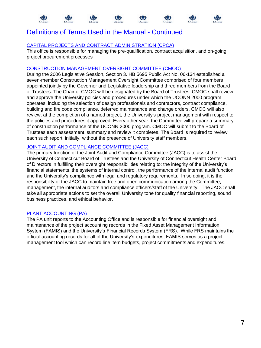### Definitions of Terms Used in the Manual - Continued

### CAPITAL PROJECTS AND CONTRACT ADMINISTRATION (CPCA)

This office is responsible for managing the pre-qualification, contract acquisition, and on-going project procurement processes

### CONSTRUCTION MANAGEMENT OVERSIGHT COMMITTEE (CMOC)

During the 2006 Legislative Session, Section 3. HB 5695 Public Act No. 06-134 established a seven-member Construction Management Oversight Committee comprised of four members appointed jointly by the Governor and Legislative leadership and three members from the Board of Trustees. The Chair of CMOC will be designated by the Board of Trustees. CMOC shall review and approve the University policies and procedures under which the UCONN 2000 program operates, including the selection of design professionals and contractors, contract compliance, building and fire code compliance, deferred maintenance and change orders. CMOC will also review, at the completion of a named project, the University's project management with respect to the policies and procedures it approved. Every other year, the Committee will prepare a summary of construction performance of the UCONN 2000 program. CMOC will submit to the Board of Trustees each assessment, summary and review it completes. The Board is required to review each such report, initially, without the presence of University staff members.

### JOINT AUDIT AND COMPLIANCE COMMITTEE (JACC)

The primary function of the Joint Audit and Compliance Committee (JACC) is to assist the University of Connecticut Board of Trustees and the University of Connecticut Health Center Board of Directors in fulfilling their oversight responsibilities relating to: the integrity of the University's financial statements, the systems of internal control, the performance of the internal audit function, and the University's compliance with legal and regulatory requirements. In so doing, it is the responsibility of the JACC to maintain free and open communication among the Committee, management, the internal auditors and compliance officers/staff of the University. The JACC shall take all appropriate actions to set the overall University tone for quality financial reporting, sound business practices, and ethical behavior.

### PLANT ACCOUNTING (PA)

The PA unit reports to the Accounting Office and is responsible for financial oversight and maintenance of the project accounting records in the Fixed Asset Management Information System (FAMIS) and the University's Financial Records System (FRS). While FRS maintains the official accounting records for all of the University's expenditures, FAMIS serves as a project management tool which can record line item budgets, project commitments and expenditures.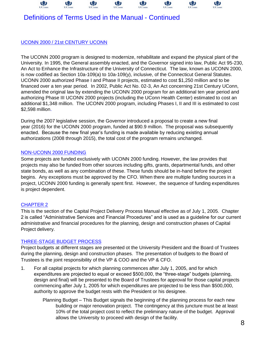

### Definitions of Terms Used in the Manual - Continued

### UCONN 2000 / 21st CENTURY UCONN

The UCONN 2000 program is designed to modernize, rehabilitate and expand the physical plant of the University. In 1995, the General assembly enacted, and the Governor signed into law, Public Act 95-230, An Act to Enhance the Infrastructure of the University of Connecticut. The law, known as UCONN 2000, is now codified as Section 10a-109(a) to 10a-109(y), inclusive, of the Connecticut General Statutes. UCONN 2000 authorized Phase I and Phase II projects, estimated to cost \$1,250 million and to be financed over a ten year period. In 2002, Public Act No. 02-3, An Act concerning 21st Century UConn, amended the original law by extending the UCONN 2000 program for an additional ten year period and authorizing Phase III UCONN 2000 projects (including the UConn Health Center) estimated to cost an additional \$1,348 million. The UCONN 2000 program, including Phases I, II and III is estimated to cost \$2,598 million.

During the 2007 legislative session, the Governor introduced a proposal to create a new final year (2016) for the UCONN 2000 program, funded at \$90.9 million. The proposal was subsequently enacted. Because the new final year's funding is made available by reducing existing annual authorizations (2008 through 2015), the total cost of the program remains unchanged.

### NON-UCONN 2000 FUNDING

Some projects are funded exclusively with UCONN 2000 funding. However, the law provides that projects may also be funded from other sources including gifts, grants, departmental funds, and other state bonds, as well as any combination of these. These funds should be in-hand before the project begins. Any exceptions must be approved by the CFO. When there are multiple funding sources in a project, UCONN 2000 funding is generally spent first. However, the sequence of funding expenditures is project dependent.

### CHAPTER 2

This is the section of the Capital Project Delivery Process Manual effective as of July 1, 2005. Chapter 2 is called "Administrative Services and Financial Procedures" and is used as a guideline for our current administrative and financial procedures for the planning, design and construction phases of Capital Project delivery.

### THREE-STAGE BUDGET PROCESS

Project budgets at different stages are presented ot the University President and the Board of Trustees during the planning, design and construction phases. The presentation of budgets to the Board of Trustees is the joint responsibility of the VP & COO and the VP & CFO.

1. For all capital projects for which planning commences after July 1, 2005, and for which expenditures are projected to equal or exceed \$500,000, the "three-stage" budgets (planning, design and final) will be presented to the Board of Trustees for approval for those capital projects commencing after July 1, 2005 for which expenditures are projected to be less than \$500,000, authority to approve the budget rests with the President or his designee.

Planning Budget – This Budget signals the beginning of the planning process for each new building or major renovation project. The contingency at this juncture must be at least 10% of the total project cost to reflect the preliminary nature of the budget. Approval allows the University to proceed with design of the facility.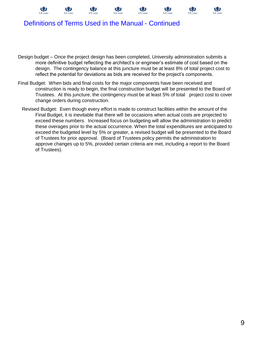





### Definitions of Terms Used in the Manual - Continued

- Design budget Once the project design has been completed, University administration submits a more definitive budget reflecting the architect's or engineer's estimate of cost based on the design. The contingency balance at this juncture must be at least 8% of total project cost to reflect the potential for deviations as bids are received for the project's components.
- Final Budget: When bids and final costs for the major components have been received and construction is ready to begin, the final construction budget will be presented to the Board of Trustees. At this juncture, the contingency must be at least 5% of total project cost to cover change orders during construction.
	- Revised Budget: Even though every effort is made to construct facilities within the amount of the Final Budget, it is inevitable that there will be occasions when actual costs are projected to exceed these numbers. Increased focus on budgeting will allow the administration to predict these overages prior to the actual occurrence. When the total expenditures are anticipated to exceed the budgeted level by 5% or greater, a revised budget will be presented to the Board of Trustees for prior approval. (Board of Trustees policy permits the administration to approve changes up to 5%, provided certain criteria are met, including a report to the Board of Trustees).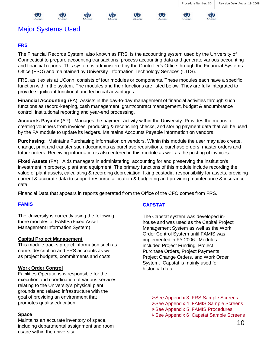



#### 戀 镰

### Major Systems Used

### **FRS**

The Financial Records System, also known as FRS, is the accounting system used by the University of Connecticut to prepare accounting transactions, process accounting data and generate various accounting and financial reports. This system is administered by the Controller's Office through the Financial Systems Office (FSO) and maintained by University Information Technology Services (UITS).

FRS, as it exists at UConn, consists of four modules or components. These modules each have a specific function within the system. The modules and their functions are listed below. They are fully integrated to provide significant functional and technical advantages.

**Financial Accounting** (FA): Assists in the day-to-day management of financial activities through such functions as record-keeping, cash management, grant/contract management, budget & encumbrance control, institutional reporting and year-end processing.

**Accounts Payable** (AP): Manages the payment activity within the University. Provides the means for creating vouchers from invoices, producing & reconciling checks, and storing payment data that will be used by the FA module to update its ledgers. Maintains Accounts Payable information on vendors.

**Purchasing:** Maintains Purchasing information on vendors. Within this module the user may also create, change, print and transfer such documents as purchase requisitions, purchase orders, master orders and future orders. Receiving information is also entered in this module as well as the posting of invoices.

**Fixed Assets** (FX): Aids managers in administering, accounting for and preserving the institution's investment in property, plant and equipment. The primary functions of this module include recording the value of plant assets, calculating & recording depreciation, fixing custodial responsibility for assets, providing current & accurate data to support resource allocation & budgeting and providing maintenance & insurance data.

Financial Data that appears in reports generated from the Office of the CFO comes from FRS.

### **FAMIS**

The University is currently using the following three modules of FAMIS (Fixed Asset Management Information System):

### **Capital Project Management**

This module tracks project information such as name, description and FRS accounts as well as project budgets, commitments and costs.

### **Work Order Control**

Facilities Operations is responsible for the execution and coordination of various services relating to the University's physical plant, grounds and related infrastructure with the goal of providing an environment that promotes quality education.

### **Space**

Maintains an accurate inventory of space, including departmental assignment and room usage within the university.

### **CAPSTAT**

The Capstat system was developed inhouse and was used as the Capital Project Management System as well as the Work Order Control System until FAMIS was implemented in FY 2006. Modules included Project Funding, Project Purchase Orders, Project Payments, Project Change Orders, and Work Order System. Capstat is mainly used for historical data.

- **≻See Appendix 3 FRS Sample Screens**
- ▶ See Appendix 4 FAMIS Sample Screens
- See Appendix 5 FAMIS Procedures
- **≻See Appendix 6 Capstat Sample Screens**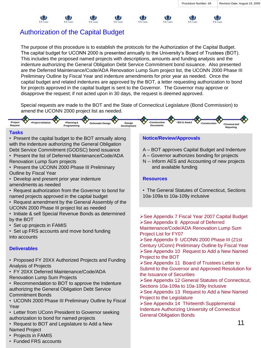### Authorization of the Capital Budget

The purpose of this procedure is to establish the protocols for the Authorization of the Capital Budget. The capital budget for UCONN 2000 is presented annually to the University's Board of Trustees (BOT). This includes the proposed named projects with descriptions, amounts and funding analysis and the indenture authorizing the General Obligation Debt Service Commitment bond issuance. Also presented are the Deferred Maintenance/Code/ADA Renovation Lump Sum project list, the UCONN 2000 Phase III Preliminary Outline by Fiscal Year and indenture amendments for prior year as needed. Once the capital budget and related indentures are approved by the BOT, a letter requesting authorization to bond for projects approved in the capital budget is sent to the Governor. The Governor may approve or disapprove the request; if not acted upon in 30 days, the request is deemed approved.

Special requests are made to the BOT and the State of Connecticut Legislature (Bond Commission) to amend the UCONN 2000 project list as needed.



#### **Tasks**

• Present the capital budget to the BOT annually along with the indenture authorizing the General Obligation Debt Service Commitment (GODSC) bond issuance

- Present the list of Deferred Maintenance/Code/ADA Renovation Lump Sum projects
- Present the UCONN 2000 Phase III Preliminary
- Outline by Fiscal Year
- Develop and present prior year indenture amendments as needed
- Request authorization from the Governor to bond for named projects approved in the capital budget
- Request amendment by the General Assembly of the UCONN 2000 Phase III project list as needed
- Initiate & sell Special Revenue Bonds as determined by the BOT
- Set up projects in FAMIS
- Set up FRS accounts and move bond funding into accounts

### **Deliverables**

- Proposed FY 20XX Authorized Projects and Funding Analysis of Projects
- FY 20XX Deferred Maintenance/Code/ADA Renovation Lump Sum Projects
- Recommendation to BOT to approve the Indenture authorizing the General Obligation Debt Service Commitment Bonds
- UCONN 2000 Phase III Preliminary Outline by Fiscal Year
- Letter from UConn President to Governor seeking authorization to bond for named projects
- Request to BOT and Legislature to Add a New Named Project
- Projects in FAMIS
- Funded FRS accounts

### **Notice/Review/Approvals**

A – BOT approves Capital Budget and Indenture

娜

輿

- A Governor authorizes bonding for projects
- N -- Inform AES and Accounting of new projects and available funding

### **Resources**

• The General Statutes of Connecticut, Sections 10a-109a to 10a-109y inclusive

See Appendix 7 Fiscal Year 2007 Capital Budget **≻See Appendix 8 Approval of Deferred** Maintenance/Code/ADA Renovation Lump Sum Project List for FY07

▶ See Appendix 9 UCONN 2000 Phase III (21st Century UConn) Preliminary Outline by Fiscal Year **≻See Appendix 10 Request to Add a New Named** Project to the BOT

▶ See Appendix 11 Board of Trustees Letter to Submit to the Governor and Approved Resolution for the Issuance of Securities

▶ See Appendix 12 General Statutes of Connecticut, Sections 10a-109a to 10a-109y Inclusive

**≻See Appendix 13 Request to Add a New Named** Project to the Legislature

See Appendix 14 Thirteenth Supplemental Indenture Authorizing University of Connecticut General Obligation Bonds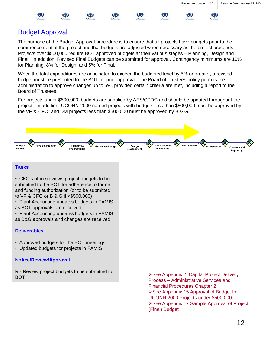( 2

₩



The purpose of the Budget Approval procedure is to ensure that all projects have budgets prior to the commencement of the project and that budgets are adjusted when necessary as the project proceeds. Projects over \$500,000 require BOT approved budgets at their various stages – Planning, Design and Final. In addition, Revised Final Budgets can be submitted for approval. Contingency minimums are 10% for Planning, 8% for Design, and 5% for Final.

When the total expenditures are anticipated to exceed the budgeted level by 5% or greater, a revised budget must be presented to the BOT for prior approval. The Board of Trustees policy permits the administration to approve changes up to 5%, provided certain criteria are met, including a report to the Board of Trustees.

For projects under \$500,000, budgets are supplied by AES/CPDC and should be updated throughout the project. In addition, UCONN 2000 named projects with budgets less than \$500,000 must be approved by the VP & CFO, and DM projects less than \$500,000 must be approved by B & G.



#### **Tasks**

• CFO's office reviews project budgets to be submitted to the BOT for adherence to format and funding authorization (or to be submitted to VP & CFO or B & G if <\$500,000)

• Plant Accounting updates budgets in FAMIS as BOT approvals are received

• Plant Accounting updates budgets in FAMIS

as B&G approvals and changes are received

### **Deliverables**

- Approved budgets for the BOT meetings
- Updated budgets for projects in FAMIS

### **Notice/Review/Approval**

R - Review project budgets to be submitted to BOT See Appendix 2 Capital Project Delivery

Process – Administrative Services and Financial Procedures Chapter 2 See Appendix 15 Approval of Budget for UCONN 2000 Projects under \$500,000 ▶ See Appendix 17 Sample Approval of Project (Final) Budget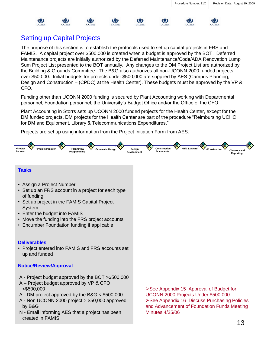

### Setting up Capital Projects

The purpose of this section is to establish the protocols used to set up capital projects in FRS and FAMIS. A capital project over \$500,000 is created when a budget is approved by the BOT. Deferred Maintenance projects are initially authorized by the Deferred Maintenance/Code/ADA Renovation Lump Sum Project List presented to the BOT annually. Any changes to the DM Project List are authorized by the Building & Grounds Committee. The B&G also authorizes all non-UCONN 2000 funded projects over \$50,000. Initial budgets for projects under \$500,000 are supplied by AES (Campus Planning, Design and Construction – (CPDC) at the Health Center). These budgets must be approved by the VP & CFO.

Funding other than UCONN 2000 funding is secured by Plant Accounting working with Departmental personnel, Foundation personnel, the University's Budget Office and/or the Office of the CFO.

Plant Accounting in Storrs sets up UCONN 2000 funded projects for the Health Center, except for the DM funded projects. DM projects for the Health Center are part of the procedure "Reimbursing UCHC for DM and Equipment, Library & Telecommunications Expenditures."

Projects are set up using information from the Project Initiation Form from AES.



### **Tasks**

- Assign a Project Number
- Set up an FRS account in a project for each type of funding
- Set up project in the FAMIS Capital Project System
- Enter the budget into FAMIS
- Move the funding into the FRS project accounts
- Encumber Foundation funding if applicable

### **Deliverables**

• Project entered into FAMIS and FRS accounts set up and funded

### **Notice/Review/Approval**

- A Project budget approved by the BOT >\$500,000
- A Project budget approved by VP & CFO <\$500,000
- A DM project approved by the B&G < \$500,000
- A Non UCONN 2000 project > \$50,000 approved by B&G
- N Email informing AES that a project has been created in FAMIS

See Appendix 15 Approval of Budget for UCONN 2000 Projects Under \$500,000 ▶ See Appendix 16 Discuss Purchasing Policies and Advancement of Foundation Funds Meeting Minutes 4/25/06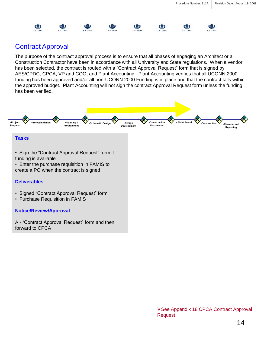

### Contract Approval

The purpose of the contract approval process is to ensure that all phases of engaging an Architect or a Construction Contractor have been in accordance with all University and State regulations. When a vendor has been selected, the contract is routed with a "Contract Approval Request" form that is signed by AES/CPDC, CPCA, VP and COO, and Plant Accounting. Plant Accounting verifies that all UCONN 2000 funding has been approved and/or all non-UCONN 2000 Funding is in place and that the contract falls within the approved budget. Plant Accounting will not sign the contract Approval Request form unless the funding has been verified.



forward to CPCA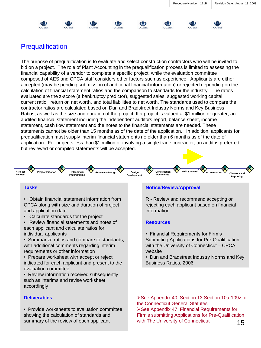









### **Prequalification**

The purpose of prequalification is to evaluate and select construction contractors who will be invited to bid on a project. The role of Plant Accounting in the prequalification process is limited to assessing the financial capability of a vendor to complete a specific project, while the evaluation committee composed of AES and CPCA staff considers other factors such as experience. Applicants are either accepted (may be pending submission of additional financial information) or rejected depending on the calculation of financial statement ratios and the comparison to standards for the industry. The ratios evaluated are the z-score (a bankruptcy predictor), suggested sales, suggested working capital, current ratio, return on net worth, and total liabilities to net worth. The standards used to compare the contractor ratios are calculated based on Dun and Bradstreet Industry Norms and Key Business Ratios, as well as the size and duration of the project. If a project is valued at \$1 million or greater, an audited financial statement including the independent auditors report, balance sheet, income statement, cash flow statement and the notes to the financial statements are needed. These statements cannot be older than 15 months as of the date of the application. In addition, applicants for prequalification must supply interim financial statements no older than 6 months as of the date of application. For projects less than \$1 million or involving a single trade contractor, an audit is preferred but reviewed or compiled statements will be accepted.



### **Tasks**

• Obtain financial statement information from CPCA along with size and duration of project and application date

• Calculate standards for the project

• Review financial statements and notes of each applicant and calculate ratios for individual applicants

• Summarize ratios and compare to standards, with additional comments regarding interim requirements or other information

• Prepare worksheet with accept or reject indicated for each applicant and present to the evaluation committee

• Review information received subsequently such as interims and revise worksheet accordingly

### **Deliverables**

• Provide worksheets to evaluation committee showing the calculation of standards and summary of the review of each applicant

### **Notice/Review/Approval**

R - Review and recommend accepting or rejecting each applicant based on financial information

### **Resources**

- Financial Requirements for Firm's Submitting Applications for Pre-Qualification with the University of Connecticut – CPCA website
- Dun and Bradstreet Industry Norms and Key Business Ratios, 2006

15 See Appendix 40 Section 13 Section 10a-109z of the Connecticut General Statutes ▶ See Appendix 47 Financial Requirements for Firm's submitting Applications for Pre-Qualification with The University of Connecticut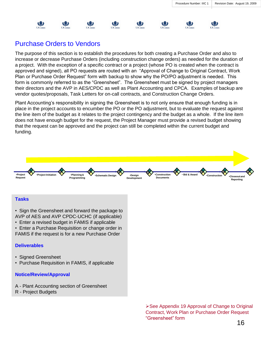₩



### Purchase Orders to Vendors

The purpose of this section is to establish the procedures for both creating a Purchase Order and also to increase or decrease Purchase Orders (including construction change orders) as needed for the duration of a project. With the exception of a specific contract or a project (whose PO is created when the contract is approved and signed), all PO requests are routed with an "Approval of Change to Original Contract, Work Plan or Purchase Order Request" form with backup to show why the PO/PO adjustment is needed. This form is commonly referred to as the "Greensheet". The Greensheet must be signed by project managers their directors and the AVP in AES/CPDC as well as Plant Accounting and CPCA. Examples of backup are vendor quotes/proposals, Task Letters for on-call contracts, and Construction Change Orders.

Plant Accounting's responsibility in signing the Greensheet is to not only ensure that enough funding is in place in the project accounts to encumber the PO or the PO adjustment, but to evaluate the request against the line item of the budget as it relates to the project contingency and the budget as a whole. If the line item does not have enough budget for the request, the Project Manager must provide a revised budget showing that the request can be approved and the project can still be completed within the current budget and funding.



#### **Tasks**

- Sign the Greensheet and forward the package to AVP of AES and AVP CPDC-UCHC (if applicable)
- Enter a revised budget in FAMIS if applicable
- Enter a Purchase Requisition or change order in FAMIS if the request is for a new Purchase Order

### **Deliverables**

- Signed Greensheet
- Purchase Requisition in FAMIS, if applicable

### **Notice/Review/Approval**

- A Plant Accounting section of Greensheet
- R Project Budgets

▶ See Appendix 19 Approval of Change to Original Contract, Work Plan or Purchase Order Request "Greensheet" form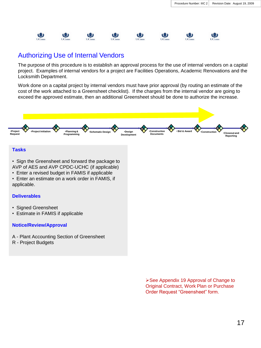

### Authorizing Use of Internal Vendors

The purpose of this procedure is to establish an approval process for the use of internal vendors on a capital project. Examples of internal vendors for a project are Facilities Operations, Academic Renovations and the Locksmith Department.

Work done on a capital project by internal vendors must have prior approval (by routing an estimate of the cost of the work attached to a Greensheet checklist). If the charges from the internal vendor are going to exceed the approved estimate, then an additional Greensheet should be done to authorize the increase.



### **Tasks**

• Sign the Greensheet and forward the package to

AVP of AES and AVP CPDC-UCHC (if applicable)

- Enter a revised budget in FAMIS if applicable
- Enter an estimate on a work order in FAMIS, if applicable.

### **Deliverables**

- Signed Greensheet
- Estimate in FAMIS if applicable

### **Notice/Review/Approval**

A - Plant Accounting Section of Greensheet

R - Project Budgets

**≻See Appendix 19 Approval of Change to** Original Contract, Work Plan or Purchase Order Request "Greensheet" form.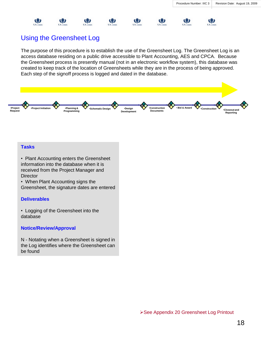

镰

₩

镰

业

The purpose of this procedure is to establish the use of the Greensheet Log. The Greensheet Log is an access database residing on a public drive accessible to Plant Accounting, AES and CPCA. Because the Greensheet process is presently manual (not in an electronic workflow system), this database was created to keep track of the location of Greensheets while they are in the process of being approved. Each step of the signoff process is logged and dated in the database.

₩

镰

₩



#### **Tasks**

• Plant Accounting enters the Greensheet information into the database when it is received from the Project Manager and **Director** 

• When Plant Accounting signs the Greensheet, the signature dates are entered

#### **Deliverables**

• Logging of the Greensheet into the database

#### **Notice/Review/Approval**

N - Notating when a Greensheet is signed in the Log identifies where the Greensheet can be found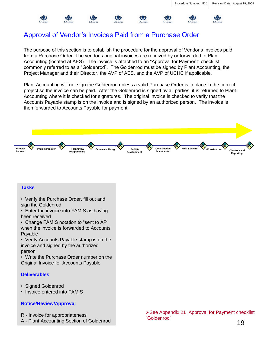镰

### Approval of Vendor's Invoices Paid from a Purchase Order

The purpose of this section is to establish the procedure for the approval of Vendor's Invoices paid from a Purchase Order. The vendor's original invoices are received by or forwarded to Plant Accounting (located at AES). The invoice is attached to an "Approval for Payment" checklist commonly referred to as a "Goldenrod". The Goldenrod must be signed by Plant Accounting, the Project Manager and their Director, the AVP of AES, and the AVP of UCHC if applicable.

Plant Accounting will not sign the Goldenrod unless a valid Purchase Order is in place in the correct project so the invoice can be paid. After the Goldenrod is signed by all parties, it is returned to Plant Accounting where it is checked for signatures. The original invoice is checked to verify that the Accounts Payable stamp is on the invoice and is signed by an authorized person. The invoice is then forwarded to Accounts Payable for payment.



### **Tasks**

镰

• Verify the Purchase Order, fill out and sign the Goldenrod

• Enter the invoice into FAMIS as having been received

• Change FAMIS notation to "sent to AP" when the invoice is forwarded to Accounts Payable

• Verify Accounts Payable stamp is on the invoice and signed by the authorized person

• Write the Purchase Order number on the Original Invoice for Accounts Payable

### **Deliverables**

- Signed Goldenrod
- Invoice entered into FAMIS

#### **Notice/Review/Approval**

- R Invoice for appropriateness
- A Plant Accounting Section of Goldenrod

▶ See Appendix 21 Approval for Payment checklist "Goldenrod"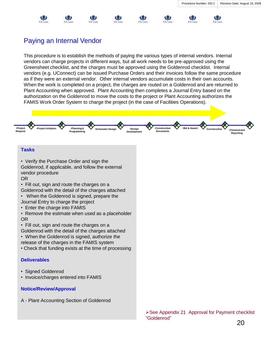(3)

UConn

### Paying an Internal Vendor

This procedure is to establish the methods of paying the various types of internal vendors. Internal vendors can charge projects in different ways, but all work needs to be pre-approved using the Greensheet checklist, and the charges must be approved using the Goldenrod checklist. Internal vendors (e.g. UConnect) can be issued Purchase Orders and their invoices follow the same procedure as if they were an external vendor. Other internal vendors accumulate costs in their own accounts. When the work is completed on a project, the charges are routed on a Goldenrod and are returned to Plant Accounting when approved. Plant Accounting then completes a Journal Entry based on the authorization on the Goldenrod to move the costs to the project or Plant Accounting authorizes the FAMIS Work Order System to charge the project (in the case of Facilities Operations).

哪

娜

 $IC_{corr}$ 

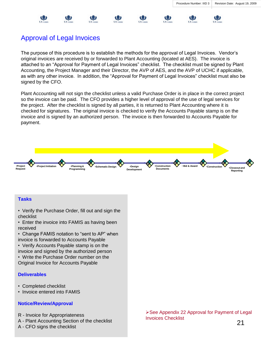娜

### Approval of Legal Invoices

The purpose of this procedure is to establish the methods for the approval of Legal Invoices. Vendor's original invoices are received by or forwarded to Plant Accounting (located at AES). The invoice is attached to an "Approval for Payment of Legal Invoices" checklist. The checklist must be signed by Plant Accounting, the Project Manager and their Director, the AVP of AES, and the AVP of UCHC if applicable, as with any other invoice. In addition, the "Approval for Payment of Legal Invoices" checklist must also be signed by the CFO.

Plant Accounting will not sign the checklist unless a valid Purchase Order is in place in the correct project so the invoice can be paid. The CFO provides a higher level of approval of the use of legal services for the project. After the checklist is signed by all parties, it is returned to Plant Accounting where it is checked for signatures. The original invoice is checked to verify the Accounts Payable stamp is on the invoice and is signed by an authorized person. The invoice is then forwarded to Accounts Payable for payment.



### **Tasks**

- Verify the Purchase Order, fill out and sign the checklist
- Enter the invoice into FAMIS as having been received
- Change FAMIS notation to "sent to AP" when invoice is forwarded to Accounts Payable
- Verify Accounts Payable stamp is on the invoice and signed by the authorized person
- Write the Purchase Order number on the Original Invoice for Accounts Payable

### **Deliverables**

- Completed checklist
- Invoice entered into FAMIS

### **Notice/Review/Approval**

- R Invoice for Appropriateness
- A Plant Accounting Section of the checklist
- A CFO signs the checklist

See Appendix 22 Approval for Payment of Legal Invoices Checklist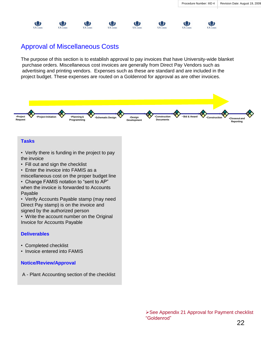(3)

戀



镰

The purpose of this section is to establish approval to pay invoices that have University-wide blanket purchase orders. Miscellaneous cost invoices are generally from Direct Pay Vendors such as advertising and printing vendors. Expenses such as these are standard and are included in the project budget. These expenses are routed on a Goldenrod for approval as are other invoices.

镰

电



#### **Tasks**

业

- Verify there is funding in the project to pay the invoice
- Fill out and sign the checklist
- Enter the invoice into FAMIS as a

miscellaneous cost on the proper budget line

• Change FAMIS notation to "sent to AP" when the invoice is forwarded to Accounts Payable

• Verify Accounts Payable stamp (may need Direct Pay stamp) is on the invoice and signed by the authorized person

• Write the account number on the Original Invoice for Accounts Payable

#### **Deliverables**

- Completed checklist
- Invoice entered into FAMIS

#### **Notice/Review/Approval**

A - Plant Accounting section of the checklist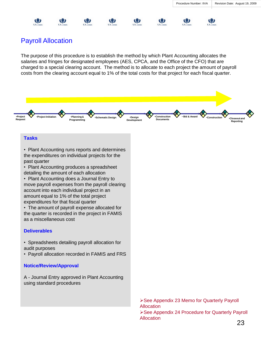业



₩

镰

镰

镰

The purpose of this procedure is to establish the method by which Plant Accounting allocates the salaries and fringes for designated employees (AES, CPCA, and the Office of the CFO) that are charged to a special clearing account. The method is to allocate to each project the amount of payroll costs from the clearing account equal to 1% of the total costs for that project for each fiscal quarter.

戀

W



#### **Tasks**

• Plant Accounting runs reports and determines the expenditures on individual projects for the past quarter

• Plant Accounting produces a spreadsheet detailing the amount of each allocation

• Plant Accounting does a Journal Entry to move payroll expenses from the payroll clearing account into each individual project in an amount equal to 1% of the total project expenditures for that fiscal quarter

• The amount of payroll expense allocated for the quarter is recorded in the project in FAMIS as a miscellaneous cost

#### **Deliverables**

- Spreadsheets detailing payroll allocation for audit purposes
- Payroll allocation recorded in FAMIS and FRS

#### **Notice/Review/Approval**

A - Journal Entry approved in Plant Accounting using standard procedures

> See Appendix 23 Memo for Quarterly Payroll **Allocation** See Appendix 24 Procedure for Quarterly Payroll Allocation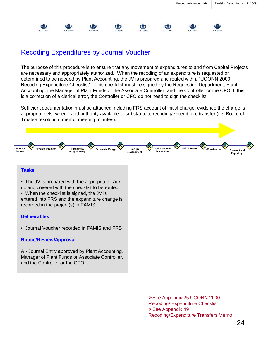

### Recoding Expenditures by Journal Voucher

The purpose of this procedure is to ensure that any movement of expenditures to and from Capital Projects are necessary and appropriately authorized. When the recoding of an expenditure is requested or determined to be needed by Plant Accounting, the JV is prepared and routed with a "UCONN 2000 Recoding Expenditure Checklist". This checklist must be signed by the Requesting Department, Plant Accounting, the Manager of Plant Funds or the Associate Controller, and the Controller or the CFO. If this is a correction of a clerical error, the Controller or CFO do not need to sign the checklist.

Sufficient documentation must be attached including FRS account of initial charge, evidence the charge is appropriate elsewhere, and authority available to substantiate recoding/expenditure transfer (i.e. Board of Trustee resolution, memo, meeting minutes).



and the Controller or the CFO

See Appendix 25 UCONN 2000 Recoding/ Expenditure Checklist **≻See Appendix 49** Recoding/Expenditure Transfers Memo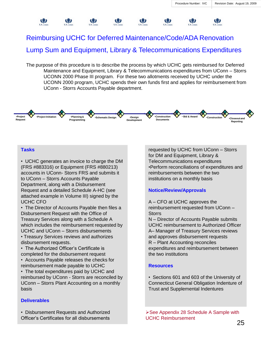

### Reimbursing UCHC for Deferred Maintenance/Code/ADA Renovation Lump Sum and Equipment, Library & Telecommunications Expenditures

The purpose of this procedure is to describe the process by which UCHC gets reimbursed for Deferred Maintenance and Equipment, Library & Telecommunications expenditures from UConn – Storrs UCONN 2000 Phase III program. For these two allotments received by UCHC under the UCONN 2000 program, UCHC spends their own funds first and applies for reimbursement from UConn - Storrs Accounts Payable department.



### **Tasks**

• UCHC generates an invoice to charge the DM (FRS #883316) or Equipment (FRS #880213) accounts in UConn- Storrs FRS and submits it to UConn – Storrs Accounts Payable Department, along with a Disbursement Request and a detailed Schedule A-HC (see attached example in Volume III) signed by the UCHC CFO

• The Director of Accounts Payable then files a Disbursement Request with the Office of Treasury Services along with a Schedule A which includes the reimbursement requested by UCHC and UConn – Storrs disbursements • Treasury Services reviews and authorizes disbursement requests.

• The Authorized Officer's Certificate is completed for the disbursement request

• Accounts Payable releases the checks for reimbursement made payable to UCHC

• The total expenditures paid by UCHC and reimbursed by UConn - Storrs are reconciled by UConn – Storrs Plant Accounting on a monthly basis

#### **Deliverables**

• Disbursement Requests and Authorized Officer's Certificates for all disbursements

requested by UCHC from UConn – Storrs for DM and Equipment, Library & Telecommunications expenditures •Perform reconciliations of expenditures and reimbursements between the two institutions on a monthly basis

#### **Notice/Review/Approvals**

A – CFO at UCHC approves the reimbursement requested from UConn – **Storrs** 

N – Director of Accounts Payable submits UCHC reimbursement to Authorized Officer A– Manager of Treasury Services reviews and approves disbursement requests R – Plant Accounting reconciles expenditures and reimbursement between the two institutions

#### **Resources**

• Sections 601 and 603 of the University of Connecticut General Obligation Indenture of Trust and Supplemental Indentures

See Appendix 28 Schedule A Sample with UCHC Reimbursement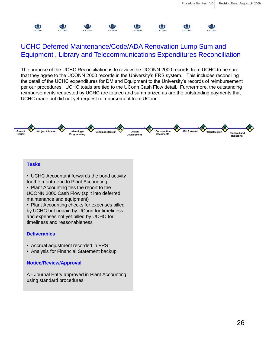

### UCHC Deferred Maintenance/Code/ADA Renovation Lump Sum and Equipment , Library and Telecommunications Expenditures Reconciliation

The purpose of the UCHC Reconciliation is to review the UCONN 2000 records from UCHC to be sure that they agree to the UCONN 2000 records in the University's FRS system. This includes reconciling the detail of the UCHC expenditures for DM and Equipment to the University's records of reimbursement per our procedures. UCHC totals are tied to the UConn Cash Flow detail. Furthermore, the outstanding reimbursements requested by UCHC are totaled and summarized as are the outstanding payments that UCHC made but did not yet request reimbursement from UConn.



### **Tasks**

• UCHC Accountant forwards the bond activity for the month-end to Plant Accounting.

• Plant Accounting ties the report to the UCONN 2000 Cash Flow (split into deferred maintenance and equipment)

• Plant Accounting checks for expenses billed by UCHC but unpaid by UConn for timeliness and expenses not yet billed by UCHC for timeliness and reasonableness

### **Deliverables**

- Accrual adjustment recorded in FRS
- Analysis for Financial Statement backup

### **Notice/Review/Approval**

A - Journal Entry approved in Plant Accounting using standard procedures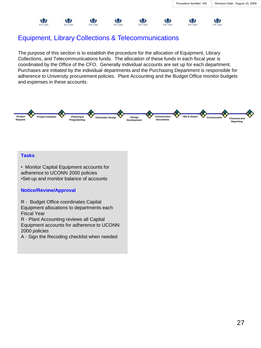

### Equipment, Library Collections & Telecommunications

The purpose of this section is to establish the procedure for the allocation of Equipment, Library Collections, and Telecommunications funds. The allocation of these funds in each fiscal year is coordinated by the Office of the CFO. Generally individual accounts are set up for each department. Purchases are initiated by the individual departments and the Purchasing Department is responsible for adherence to University procurement policies. Plant Accounting and the Budget Office monitor budgets and expenses in these accounts.



#### **Tasks**

• Monitor Capital Equipment accounts for adherence to UCONN 2000 policies •Set-up and monitor balance of accounts

### **Notice/Review/Approval**

R - Budget Office coordinates Capital

Equipment allocations to departments each Fiscal Year

R - Plant Accounting reviews all Capital Equipment accounts for adherence to UCONN 2000 policies

A - Sign the Recoding checklist when needed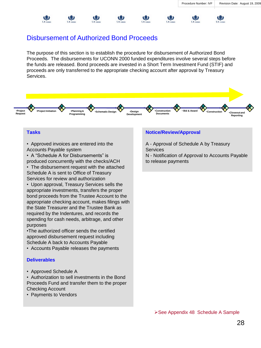UConn

### Disbursement of Authorized Bond Proceeds

The purpose of this section is to establish the procedure for disbursement of Authorized Bond Proceeds. The disbursements for UCONN 2000 funded expenditures involve several steps before the funds are released. Bond proceeds are invested in a Short Term Investment Fund (STIF) and proceeds are only transferred to the appropriate checking account after approval by Treasury Services.



### **Tasks**

- Approved invoices are entered into the Accounts Payable system
- A "Schedule A for Disbursements" is produced concurrently with the checks/ACH

• The disbursement request with the attached Schedule A is sent to Office of Treasury Services for review and authorization

• Upon approval, Treasury Services sells the appropriate investments, transfers the proper bond proceeds from the Trustee Account to the appropriate checking account, makes filings with the State Treasurer and the Trustee Bank as required by the Indentures, and records the spending for cash needs, arbitrage, and other purposes

•The authorized officer sends the certified approved disbursement request including Schedule A back to Accounts Payable

• Accounts Payable releases the payments

### **Deliverables**

• Approved Schedule A

• Authorization to sell investments in the Bond Proceeds Fund and transfer them to the proper Checking Account

• Payments to Vendors

### **Notice/Review/Approval**

镰

业

 $UC_{\alpha\alpha\beta}$ 

A - Approval of Schedule A by Treasury **Services** 

N - Notification of Approval to Accounts Payable to release payments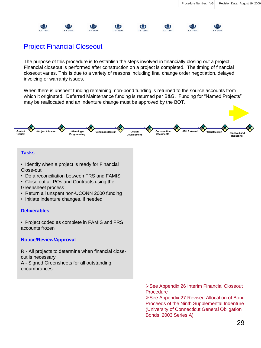

### Project Financial Closeout

The purpose of this procedure is to establish the steps involved in financially closing out a project. Financial closeout is performed after construction on a project is completed. The timing of financial closeout varies. This is due to a variety of reasons including final change order negotiation, delayed invoicing or warranty issues.

When there is unspent funding remaining, non-bond funding is returned to the source accounts from which it originated. Deferred Maintenance funding is returned per B&G. Funding for "Named Projects" may be reallocated and an indenture change must be approved by the BOT.



See Appendix 27 Revised Allocation of Bond Proceeds of the Ninth Supplemental Indenture (University of Connecticut General Obligation Bonds, 2003 Series A)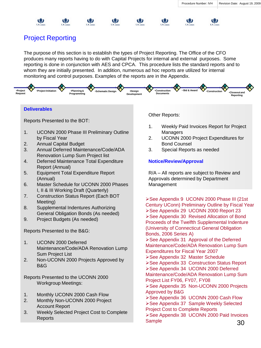



The purpose of this section is to establish the types of Project Reporting. The Office of the CFO produces many reports having to do with Capital Projects for internal and external purposes. Some reporting is done in conjunction with AES and CPCA. This procedure lists the standard reports and to whom they are initially presented. In addition, numerous ad hoc reports are utilized for internal monitoring and control purposes. Examples of the reports are in the Appendix.



#### **Deliverables**

Reports Presented to the BOT:

- 1. UCONN 2000 Phase III Preliminary Outline by Fiscal Year
- 2. Annual Capital Budget
- 3. Annual Deferred Maintenance/Code/ADA Renovation Lump Sum Project list
- 4. Deferred Maintenance Total Expenditure Report (Annual)
- 5. Equipment Total Expenditure Report (Annual)
- 6. Master Schedule for UCONN 2000 Phases I, II & III Working Draft (Quarterly)
- 7. Construction Status Report (Each BOT Meeting)
- 8. Supplemental Indentures Authorizing General Obligation Bonds (As needed)
- 9. Project Budgets (As needed)

Reports Presented to the B&G:

- 1. UCONN 2000 Deferred Maintenance/Code/ADA Renovation Lump Sum Project List
- 2. Non-UCONN 2000 Projects Approved by B&G

Reports Presented to the UCONN 2000 Workgroup Meetings:

- 1. Monthly UCONN 2000 Cash Flow
- 2. Monthly Non-UCONN 2000 Project Account Report
- 3. Weekly Selected Project Cost to Complete Reports

Other Reports:

1. Weekly Paid Invoices Report for Project Managers

戀

- 2. UCONN 2000 Project Expenditures for Bond Counsel
- 3. Special Reports as needed

### **Notice/Review/Approval**

R/A – All reports are subject to Review and Approvals determined by Department Management

▶ See Appendix 9 UCONN 2000 Phase III (21st Century UConn) Preliminary Outline by Fiscal Year See Appendix 29 UCONN 2000 Report 23 ▶ See Appendix 30 Revised Allocation of Bond Proceeds of the Twelfth Supplemental Indenture (University of Connecticut General Obligation Bonds, 2006 Series A)

See Appendix 31 Approval of the Deferred Maintenance/Code/ADA Renovation Lump Sum Expenditures for Fiscal Year 2007

- **≻See Appendix 32 Master Schedule**
- ▶ See Appendix 33 Construction Status Report See Appendix 34 UCONN 2000 Deferred Maintenance/Code/ADA Renovation Lump Sum Project List FY06, FY07, FY08
- **>See Appendix 35 Non-UCONN 2000 Projects** Approved by B&G
- ▶ See Appendix 36 UCONN 2000 Cash Flow See Appendix 37 Sample Weekly Selected
- Project Cost to Complete Reports
- 30 ▶ See Appendix 38 UCONN 2000 Paid Invoices **Sample**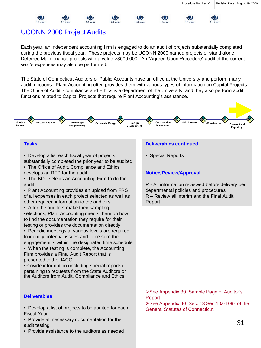(3)  $IC<sub>cmn</sub>$ 

镰

### UCONN 2000 Project Audits

Each year, an independent accounting firm is engaged to do an audit of projects substantially completed during the previous fiscal year. These projects may be UCONN 2000 named projects or stand alone Deferred Maintenance projects with a value >\$500,000. An "Agreed Upon Procedure" audit of the current year's expenses may also be performed.

The State of Connecticut Auditors of Public Accounts have an office at the University and perform many audit functions. Plant Accounting often provides them with various types of information on Capital Projects. The Office of Audit, Compliance and Ethics is a department of the University, and they also perform audit functions related to Capital Projects that require Plant Accounting's assistance.



### **Tasks**

• Develop a list each fiscal year of projects substantially completed the prior year to be audited

- The Office of Audit, Compliance and Ethics develops an RFP for the audit
- The BOT selects an Accounting Firm to do the audit
- Plant Accounting provides an upload from FRS of all expenses in each project selected as well as other required information to the auditors
- After the auditors make their sampling selections, Plant Accounting directs them on how to find the documentation they require for their testing or provides the documentation directly
- Periodic meetings at various levels are required to identify potential issues and to be sure the engagement is within the designated time schedule
- When the testing is complete, the Accounting Firm provides a Final Audit Report that is presented to the JACC
- •Provide information (including special reports) pertaining to requests from the State Auditors or the Auditors from Audit, Compliance and Ethics

### **Deliverables**

- Develop a list of projects to be audited for each Fiscal Year
- Provide all necessary documentation for the audit testing
- Provide assistance to the auditors as needed

### **Deliverables continued**

• Special Reports

### **Notice/Review/Approval**

R - All information reviewed before delivery per departmental policies and procedures R – Review all interim and the Final Audit Report

See Appendix 39 Sample Page of Auditor's Report See Appendix 40 Sec. 13 Sec.10a-109z of the

General Statutes of Connecticut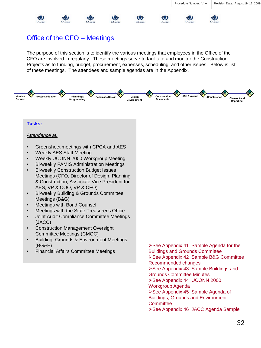**UConn** 

业

**UConn** 

### Office of the CFO – Meetings

镰

镰

镜

The purpose of this section is to identify the various meetings that employees in the Office of the CFO are involved in regularly. These meetings serve to facilitate and monitor the Construction Projects as to funding, budget, procurement, expenses, scheduling, and other issues. Below is list of these meetings. The attendees and sample agendas are in the Appendix.

镰

 $\mathbf{u}$ 

**UConr** 



#### **Tasks:**

#### *Attendance at:*

业

UC

- Greensheet meetings with CPCA and AES
- Weekly AES Staff Meeting
- Weekly UCONN 2000 Workgroup Meeting
- Bi-weekly FAMIS Administration Meetings
- Bi-weekly Construction Budget Issues Meetings (CFO, Director of Design, Planning & Construction, Associate Vice President for AES, VP & COO, VP & CFO)
- Bi-weekly Building & Grounds Committee Meetings (B&G)
- Meetings with Bond Counsel
- Meetings with the State Treasurer's Office
- Joint Audit Compliance Committee Meetings (JACC)
- Construction Management Oversight Committee Meetings (CMOC)
- Building, Grounds & Environment Meetings (BG&E)
- Financial Affairs Committee Meetings

▶ See Appendix 41 Sample Agenda for the Buildings and Grounds Committee See Appendix 42 Sample B&G Committee Recommended changes ▶ See Appendix 43 Sample Buildings and Grounds Committee Minutes See Appendix 44 UCONN 2000 Workgroup Agenda ▶ See Appendix 45 Sample Agenda of Buildings, Grounds and Environment **Committee ≻See Appendix 46 JACC Agenda Sample**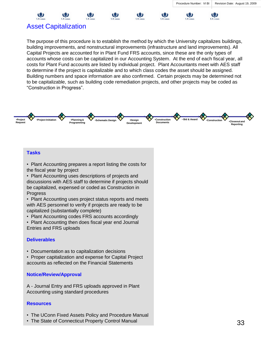

( 2

业

### Asset Capitalization

The purpose of this procedure is to establish the method by which the University capitalizes buildings, building improvements, and nonstructural improvements (infrastructure and land improvements). All Capital Projects are accounted for in Plant Fund FRS accounts, since these are the only types of accounts whose costs can be capitalized in our Accounting System. At the end of each fiscal year, all costs for Plant Fund accounts are listed by individual project. Plant Accountants meet with AES staff to determine if the project is capitalizable and to which class codes the asset should be assigned. Building numbers and space information are also confirmed. Certain projects may be determined not to be capitalizable, such as building code remediation projects, and other projects may be coded as "Construction in Progress".



### **Tasks**

• Plant Accounting prepares a report listing the costs for the fiscal year by project

• Plant Accounting uses descriptions of projects and discussions with AES staff to determine if projects should be capitalized, expensed or coded as Construction in Progress

• Plant Accounting uses project status reports and meets with AES personnel to verify if projects are ready to be capitalized (substantially complete)

- Plant Accounting codes FRS accounts accordingly
- Plant Accounting then does fiscal year end Journal Entries and FRS uploads

### **Deliverables**

• Documentation as to capitalization decisions

• Proper capitalization and expense for Capital Project accounts as reflected on the Financial Statements

### **Notice/Review/Approval**

A - Journal Entry and FRS uploads approved in Plant Accounting using standard procedures

### **Resources**

- The UConn Fixed Assets Policy and Procedure Manual
- The State of Connecticut Property Control Manual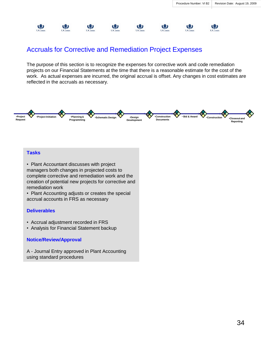

### Accruals for Corrective and Remediation Project Expenses

The purpose of this section is to recognize the expenses for corrective work and code remediation projects on our Financial Statements at the time that there is a reasonable estimate for the cost of the work. As actual expenses are incurred, the original accrual is offset. Any changes in cost estimates are reflected in the accruals as necessary.



### **Tasks**

• Plant Accountant discusses with project managers both changes in projected costs to complete corrective and remediation work and the creation of potential new projects for corrective and remediation work

• Plant Accounting adjusts or creates the special accrual accounts in FRS as necessary

### **Deliverables**

- Accrual adjustment recorded in FRS
- Analysis for Financial Statement backup

### **Notice/Review/Approval**

A - Journal Entry approved in Plant Accounting using standard procedures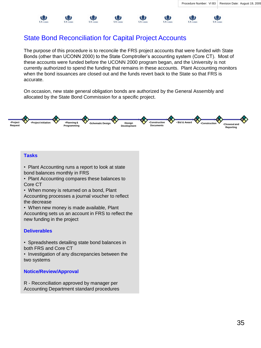(3)

**UConn** 

### State Bond Reconciliation for Capital Project Accounts

镰

The purpose of this procedure is to reconcile the FRS project accounts that were funded with State Bonds (other than UCONN 2000) to the State Comptroller's accounting system (Core CT). Most of these accounts were funded before the UCONN 2000 program began, and the University is not currently authorized to spend the funding that remains in these accounts. Plant Accounting monitors when the bond issuances are closed out and the funds revert back to the State so that FRS is accurate.

博

雙

**UConn** 

On occasion, new state general obligation bonds are authorized by the General Assembly and allocated by the State Bond Commission for a specific project.



### **Tasks**

镰

- Plant Accounting runs a report to look at state bond balances monthly in FRS
- Plant Accounting compares these balances to Core CT
- When money is returned on a bond, Plant Accounting processes a journal voucher to reflect the decrease
- When new money is made available, Plant Accounting sets us an account in FRS to reflect the new funding in the project

### **Deliverables**

- Spreadsheets detailing state bond balances in both FRS and Core CT
- Investigation of any discrepancies between the two systems

### **Notice/Review/Approval**

R - Reconciliation approved by manager per Accounting Department standard procedures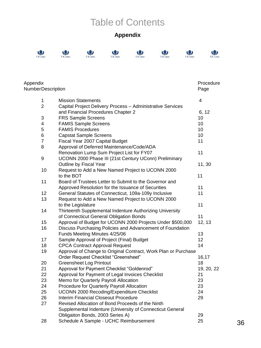# Table of Contents

### **Appendix**

 $\mathbf{Q}$ 

 $\bigcirc_{\text{UConn}}$ 



| Appendix          | Procedure                                                      |                         |  |  |
|-------------------|----------------------------------------------------------------|-------------------------|--|--|
| NumberDescription |                                                                | Page                    |  |  |
| $\mathbf 1$       | <b>Mission Statements</b>                                      | $\overline{\mathbf{4}}$ |  |  |
| $\overline{2}$    | Capital Project Delivery Process - Administrative Services     |                         |  |  |
|                   | and Financial Procedures Chapter 2                             | 6, 12                   |  |  |
| 3                 | <b>FRS Sample Screens</b>                                      | 10                      |  |  |
| 4                 | <b>FAMIS Sample Screens</b>                                    | 10                      |  |  |
| 5                 | <b>FAMIS Procedures</b>                                        | 10                      |  |  |
| 6                 | <b>Capstat Sample Screens</b>                                  | 10                      |  |  |
| $\overline{7}$    | Fiscal Year 2007 Capital Budget                                | 11                      |  |  |
| 8                 | Approval of Deferred Maintenance/Code/ADA                      |                         |  |  |
|                   | Renovation Lump Sum Project List for FY07                      | 11                      |  |  |
| 9                 | UCONN 2000 Phase III (21st Century UConn) Preliminary          |                         |  |  |
|                   | Outline by Fiscal Year                                         | 11,30                   |  |  |
| 10                | Request to Add a New Named Project to UCONN 2000               |                         |  |  |
|                   | to the BOT                                                     | 11                      |  |  |
| 11                | Board of Trustees Letter to Submit to the Governor and         |                         |  |  |
|                   | Approved Resolution for the Issuance of Securities             | 11                      |  |  |
| 12                | General Statutes of Connecticut, 109a-109y Inclusive           | 11                      |  |  |
| 13                | Request to Add a New Named Project to UCONN 2000               |                         |  |  |
|                   | to the Legislature                                             | 11                      |  |  |
| 14                | Thirteenth Supplemental Indenture Authorizing University       |                         |  |  |
|                   | of Connecticut General Obligation Bonds                        | 11                      |  |  |
| 15                | Approval of Budget for UCONN 2000 Projects Under \$500,000     | 12, 13                  |  |  |
| 16                | Discuss Purchasing Policies and Advancement of Foundation      |                         |  |  |
|                   | Funds Meeting Minutes 4/25/06                                  | 13                      |  |  |
| 17                | Sample Approval of Project (Final) Budget                      | 12                      |  |  |
| 18                | <b>CPCA Contract Approval Request</b>                          | 14                      |  |  |
| 19                | Approval of Change to Original Contract, Work Plan or Purchase |                         |  |  |
|                   | Order Request Checklist "Greensheet"                           | 16,17                   |  |  |
| 20                | <b>Greensheet Log Printout</b>                                 | 18                      |  |  |
| 21                | Approval for Payment Checklist "Goldenrod"                     | 19, 20, 22              |  |  |
| 22                | Approval for Payment of Legal Invoices Checklist               | 21                      |  |  |
| 23                | Memo for Quarterly Payroll Allocation                          | 23                      |  |  |
| 24                | Procedure for Quarterly Payroll Allocation                     | 23                      |  |  |
| 25                | UCONN 2000 Recoding/Expenditure Checklist                      | 24                      |  |  |
| 26                | Interim Financial Closeout Procedure                           | 29                      |  |  |
| 27                | Revised Allocation of Bond Proceeds of the Ninth               |                         |  |  |
|                   | Supplemental Indenture (University of Connecticut General      |                         |  |  |
|                   | Obligaiton Bonds, 2003 Series A)                               | 29                      |  |  |
| 28                | Schedule A Sample - UCHC Reimbursement                         | 25                      |  |  |